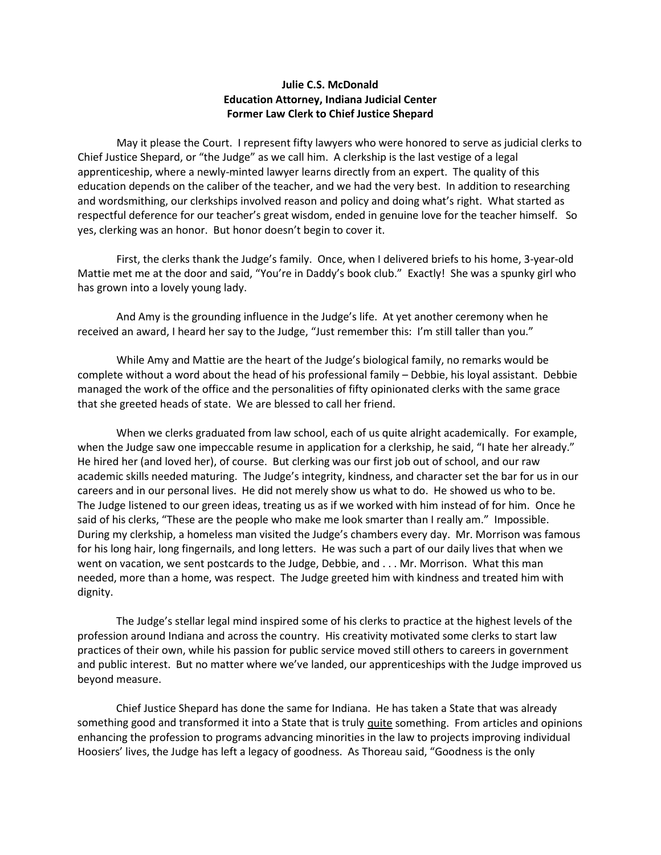## **Julie C.S. McDonald Education Attorney, Indiana Judicial Center Former Law Clerk to Chief Justice Shepard**

May it please the Court. I represent fifty lawyers who were honored to serve as judicial clerks to Chief Justice Shepard, or "the Judge" as we call him. A clerkship is the last vestige of a legal apprenticeship, where a newly-minted lawyer learns directly from an expert. The quality of this education depends on the caliber of the teacher, and we had the very best. In addition to researching and wordsmithing, our clerkships involved reason and policy and doing what's right. What started as respectful deference for our teacher's great wisdom, ended in genuine love for the teacher himself. So yes, clerking was an honor. But honor doesn't begin to cover it.

First, the clerks thank the Judge's family. Once, when I delivered briefs to his home, 3-year-old Mattie met me at the door and said, "You're in Daddy's book club." Exactly! She was a spunky girl who has grown into a lovely young lady.

And Amy is the grounding influence in the Judge's life. At yet another ceremony when he received an award, I heard her say to the Judge, "Just remember this: I'm still taller than you."

While Amy and Mattie are the heart of the Judge's biological family, no remarks would be complete without a word about the head of his professional family – Debbie, his loyal assistant. Debbie managed the work of the office and the personalities of fifty opinionated clerks with the same grace that she greeted heads of state. We are blessed to call her friend.

When we clerks graduated from law school, each of us quite alright academically. For example, when the Judge saw one impeccable resume in application for a clerkship, he said, "I hate her already." He hired her (and loved her), of course. But clerking was our first job out of school, and our raw academic skills needed maturing. The Judge's integrity, kindness, and character set the bar for us in our careers and in our personal lives. He did not merely show us what to do. He showed us who to be. The Judge listened to our green ideas, treating us as if we worked with him instead of for him. Once he said of his clerks, "These are the people who make me look smarter than I really am." Impossible. During my clerkship, a homeless man visited the Judge's chambers every day. Mr. Morrison was famous for his long hair, long fingernails, and long letters. He was such a part of our daily lives that when we went on vacation, we sent postcards to the Judge, Debbie, and . . . Mr. Morrison. What this man needed, more than a home, was respect. The Judge greeted him with kindness and treated him with dignity.

The Judge's stellar legal mind inspired some of his clerks to practice at the highest levels of the profession around Indiana and across the country. His creativity motivated some clerks to start law practices of their own, while his passion for public service moved still others to careers in government and public interest. But no matter where we've landed, our apprenticeships with the Judge improved us beyond measure.

Chief Justice Shepard has done the same for Indiana. He has taken a State that was already something good and transformed it into a State that is truly quite something. From articles and opinions enhancing the profession to programs advancing minorities in the law to projects improving individual Hoosiers' lives, the Judge has left a legacy of goodness. As Thoreau said, "Goodness is the only